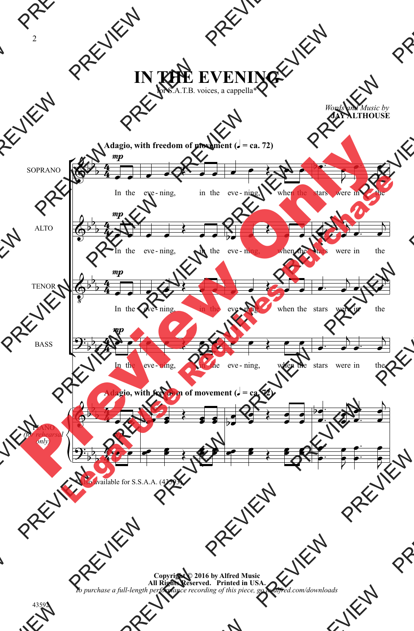## **IN THE EVENING**

for S.A.T.B. voices, a cappella\*

*Words and Music by* **JAY ALTHOUSE**



**Copyright © 2016 by Alfred Music All Rights Reserved. Printed in USA.** *To purchase a full-length performance recording of this piece, go to alfred.com/downloads*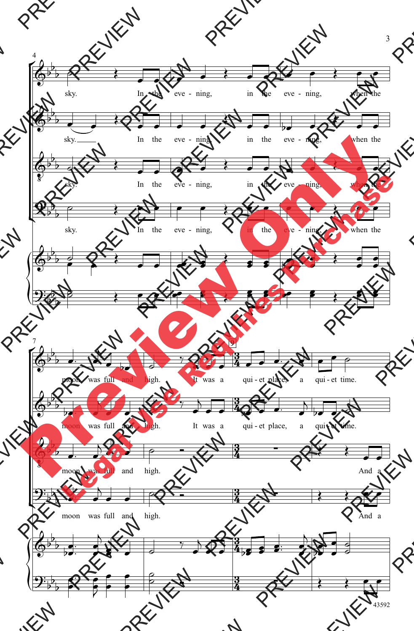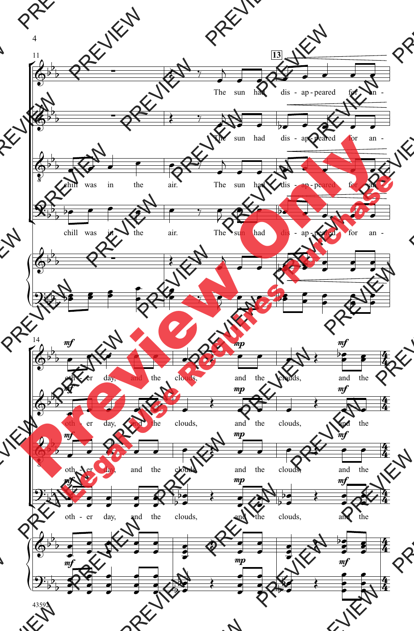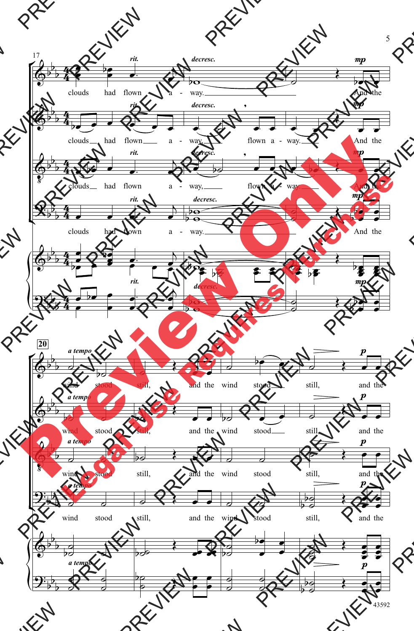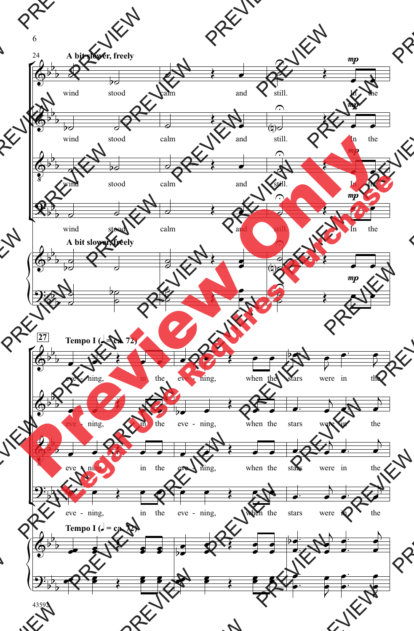

6